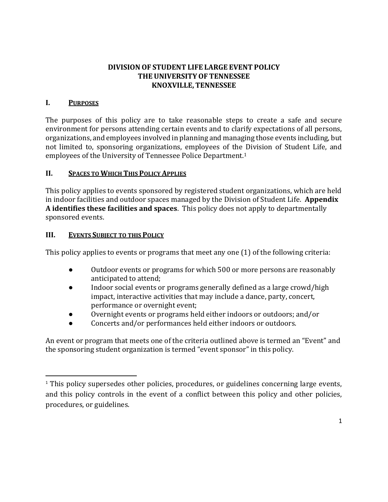## **DIVISION OF STUDENT LIFE LARGE EVENT POLICY THE UNIVERSITYOF TENNESSEE KNOXVILLE, TENNESSEE**

## **I. PURPOSES**

 $\overline{\phantom{a}}$ 

The purposes of this policy are to take reasonable steps to create a safe and secure environment for persons attending certain events and to clarify expectations of all persons, organizations, and employees involved in planning and managing those events including, but not limited to, sponsoring organizations, employees of the Division of Student Life, and employees of the University of Tennessee Police Department.<sup>1</sup>

## **II. SPACES TO WHICH THIS POLICY APPLIES**

This policy applies to events sponsored by registered student organizations, which are held in indoor facilities and outdoor spaces managed by the Division of Student Life. **Appendix A identifies these facilities and spaces**. This policy does not apply to departmentally sponsored events.

## **III. EVENTS SUBJECT TO THIS POLICY**

This policy applies to events or programs that meet any one (1) of the following criteria:

- Outdoor events or programs for which 500 or more persons are reasonably anticipated to attend;
- Indoor social events or programs generally defined as a large crowd/high impact, interactive activities that may include a dance, party, concert, performance or overnight event;
- Overnight events or programs held either indoors or outdoors; and/or
- Concerts and/or performances held either indoors or outdoors.

An event or program that meets one of the criteria outlined above is termed an "Event" and the sponsoring student organization is termed "event sponsor" in this policy.

<sup>&</sup>lt;sup>1</sup> This policy supersedes other policies, procedures, or guidelines concerning large events, and this policy controls in the event of a conflict between this policy and other policies, procedures, or guidelines.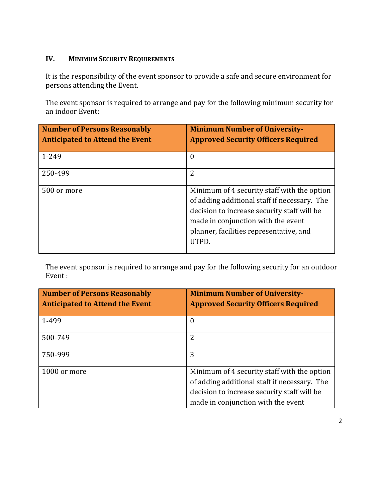# **IV. MINIMUM SECURITY REQUIREMENTS**

It is the responsibility of the event sponsor to provide a safe and secure environment for persons attending the Event.

The event sponsor is required to arrange and pay for the following minimum security for an indoor Event:

| <b>Number of Persons Reasonably</b><br><b>Anticipated to Attend the Event</b> | <b>Minimum Number of University-</b><br><b>Approved Security Officers Required</b>                                                                                                                                                   |
|-------------------------------------------------------------------------------|--------------------------------------------------------------------------------------------------------------------------------------------------------------------------------------------------------------------------------------|
| 1-249                                                                         | $\Omega$                                                                                                                                                                                                                             |
| 250-499                                                                       | 2                                                                                                                                                                                                                                    |
| 500 or more                                                                   | Minimum of 4 security staff with the option<br>of adding additional staff if necessary. The<br>decision to increase security staff will be<br>made in conjunction with the event<br>planner, facilities representative, and<br>UTPD. |

The event sponsor is required to arrange and pay for the following security for an outdoor Event :

| <b>Number of Persons Reasonably</b><br><b>Anticipated to Attend the Event</b> | <b>Minimum Number of University-</b><br><b>Approved Security Officers Required</b>          |
|-------------------------------------------------------------------------------|---------------------------------------------------------------------------------------------|
| 1-499                                                                         | $\boldsymbol{0}$                                                                            |
| 500-749                                                                       | $\overline{2}$                                                                              |
| 750-999                                                                       | 3                                                                                           |
| 1000 or more                                                                  | Minimum of 4 security staff with the option<br>of adding additional staff if necessary. The |
|                                                                               | decision to increase security staff will be<br>made in conjunction with the event           |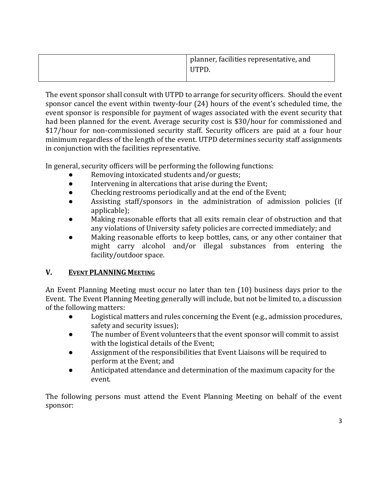| planner, facilities representative, and |
|-----------------------------------------|
| UTPD.                                   |
|                                         |

The event sponsor shall consult with UTPD to arrange for security officers. Should the event sponsor cancel the event within twenty-four (24) hours of the event's scheduled time, the event sponsor is responsible for payment of wages associated with the event security that had been planned for the event. Average security cost is \$30/hour for commissioned and \$17/hour for non-commissioned security staff. Security officers are paid at a four hour minimum regardless of the length of the event. UTPD determines security staff assignments in conjunction with the facilities representative.

In general, security officers will be performing the following functions:

- Removing intoxicated students and/or guests;
- Intervening in altercations that arise during the Event;
- Checking restrooms periodically and at the end of the Event;
- Assisting staff/sponsors in the administration of admission policies (if applicable);
- Making reasonable efforts that all exits remain clear of obstruction and that any violations of University safety policies are corrected immediately; and
- Making reasonable efforts to keep bottles, cans, or any other container that might carry alcohol and/or illegal substances from entering the facility/outdoor space.

# **V. EVENT PLANNING MEETING**

An Event Planning Meeting must occur no later than ten (10) business days prior to the Event. The Event Planning Meeting generally will include, but not be limited to, a discussion of the following matters:

- Logistical matters and rules concerning the Event (e.g., admission procedures, safety and security issues);
- The number of Event volunteers that the event sponsor will commit to assist with the logistical details of the Event;
- Assignment of the responsibilities that Event Liaisons will be required to perform at the Event; and
- Anticipated attendance and determination of the maximum capacity for the event.

The following persons must attend the Event Planning Meeting on behalf of the event sponsor: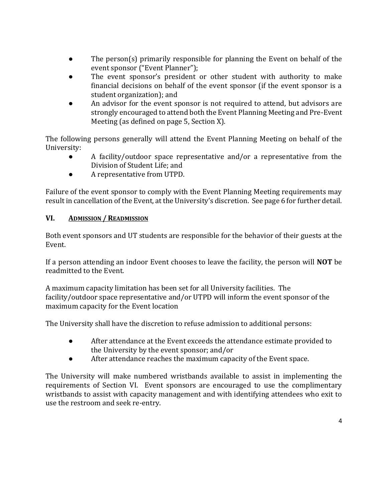- The person(s) primarily responsible for planning the Event on behalf of the event sponsor ("Event Planner");
- The event sponsor's president or other student with authority to make financial decisions on behalf of the event sponsor (if the event sponsor is a student organization); and
- An advisor for the event sponsor is not required to attend, but advisors are strongly encouraged to attend both the Event Planning Meeting and Pre-Event Meeting (as defined on page 5, Section X).

The following persons generally will attend the Event Planning Meeting on behalf of the University:

- A facility/outdoor space representative and/or a representative from the Division of Student Life; and
- A representative from UTPD.

Failure of the event sponsor to comply with the Event Planning Meeting requirements may result in cancellation of the Event, at the University's discretion. See page 6 for further detail.

## **VI. ADMISSION / READMISSION**

Both event sponsors and UT students are responsible for the behavior of their guests at the Event.

If a person attending an indoor Event chooses to leave the facility, the person will **NOT** be readmitted to the Event.

A maximum capacity limitation has been set for all University facilities. The facility/outdoor space representative and/or UTPD will inform the event sponsor of the maximum capacity for the Event location

The University shall have the discretion to refuse admission to additional persons:

- After attendance at the Event exceeds the attendance estimate provided to the University by the event sponsor; and/or
- After attendance reaches the maximum capacity of the Event space.

The University will make numbered wristbands available to assist in implementing the requirements of Section VI. Event sponsors are encouraged to use the complimentary wristbands to assist with capacity management and with identifying attendees who exit to use the restroom and seek re-entry.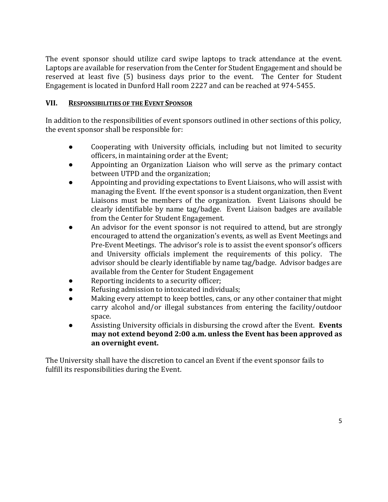The event sponsor should utilize card swipe laptops to track attendance at the event. Laptops are available for reservation from the Center for Student Engagement and should be reserved at least five (5) business days prior to the event. The Center for Student Engagement is located in Dunford Hall room 2227 and can be reached at 974-5455.

## **VII. RESPONSIBILITIES OF THE EVENT SPONSOR**

In addition to the responsibilities of event sponsors outlined in other sections of this policy, the event sponsor shall be responsible for:

- Cooperating with University officials, including but not limited to security officers, in maintaining order at the Event;
- Appointing an Organization Liaison who will serve as the primary contact between UTPD and the organization;
- Appointing and providing expectations to Event Liaisons, who will assist with managing the Event. If the event sponsor is a student organization, then Event Liaisons must be members of the organization. Event Liaisons should be clearly identifiable by name tag/badge. Event Liaison badges are available from the Center for Student Engagement.
- An advisor for the event sponsor is not required to attend, but are strongly encouraged to attend the organization's events, as well as Event Meetings and Pre-Event Meetings. The advisor's role is to assist the event sponsor's officers and University officials implement the requirements of this policy. The advisor should be clearly identifiable by name tag/badge. Advisor badges are available from the Center for Student Engagement
- Reporting incidents to a security officer;
- Refusing admission to intoxicated individuals;
- Making every attempt to keep bottles, cans, or any other container that might carry alcohol and/or illegal substances from entering the facility/outdoor space.
- Assisting University officials in disbursing the crowd after the Event. **Events may not extend beyond 2:00 a.m. unless the Event has been approved as an overnight event.**

The University shall have the discretion to cancel an Event if the event sponsor fails to fulfill its responsibilities during the Event.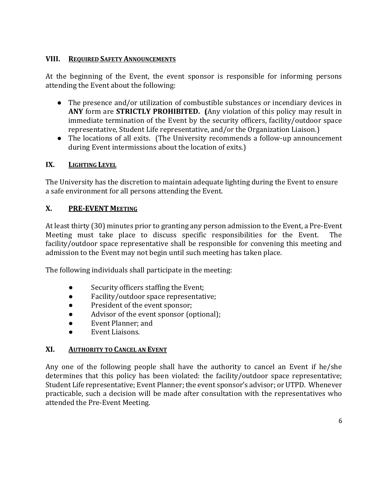### **VIII. REQUIRED SAFETY ANNOUNCEMENTS**

At the beginning of the Event, the event sponsor is responsible for informing persons attending the Event about the following:

- The presence and/or utilization of combustible substances or incendiary devices in **ANY** form are **STRICTLY PROHIBITED. (**Any violation of this policy may result in immediate termination of the Event by the security officers, facility/outdoor space representative, Student Life representative, and/or the Organization Liaison.)
- The locations of all exits. (The University recommends a follow-up announcement during Event intermissions about the location of exits.)

## **IX. LIGHTING LEVEL**

The University has the discretion to maintain adequate lighting during the Event to ensure a safe environment for all persons attending the Event.

## **X. PRE-EVENT MEETING**

At least thirty (30) minutes prior to granting any person admission to the Event, a Pre-Event Meeting must take place to discuss specific responsibilities for the Event. The facility/outdoor space representative shall be responsible for convening this meeting and admission to the Event may not begin until such meeting has taken place.

The following individuals shall participate in the meeting:

- Security officers staffing the Event;
- Facility/outdoor space representative;
- President of the event sponsor;
- Advisor of the event sponsor (optional);
- Event Planner; and
- Event Liaisons.

#### **XI. AUTHORITY TO CANCEL AN EVENT**

Any one of the following people shall have the authority to cancel an Event if he/she determines that this policy has been violated: the facility/outdoor space representative; Student Life representative; Event Planner; the event sponsor's advisor; or UTPD. Whenever practicable, such a decision will be made after consultation with the representatives who attended the Pre-Event Meeting.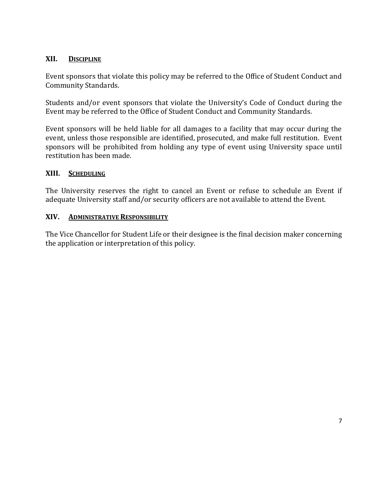#### **XII. DISCIPLINE**

Event sponsors that violate this policy may be referred to the Office of Student Conduct and Community Standards.

Students and/or event sponsors that violate the University's Code of Conduct during the Event may be referred to the Office of Student Conduct and Community Standards.

Event sponsors will be held liable for all damages to a facility that may occur during the event, unless those responsible are identified, prosecuted, and make full restitution. Event sponsors will be prohibited from holding any type of event using University space until restitution has been made.

#### **XIII. SCHEDULING**

The University reserves the right to cancel an Event or refuse to schedule an Event if adequate University staff and/or security officers are not available to attend the Event.

#### **XIV. ADMINISTRATIVE RESPONSIBILITY**

The Vice Chancellor for Student Life or their designee is the final decision maker concerning the application or interpretation of this policy.